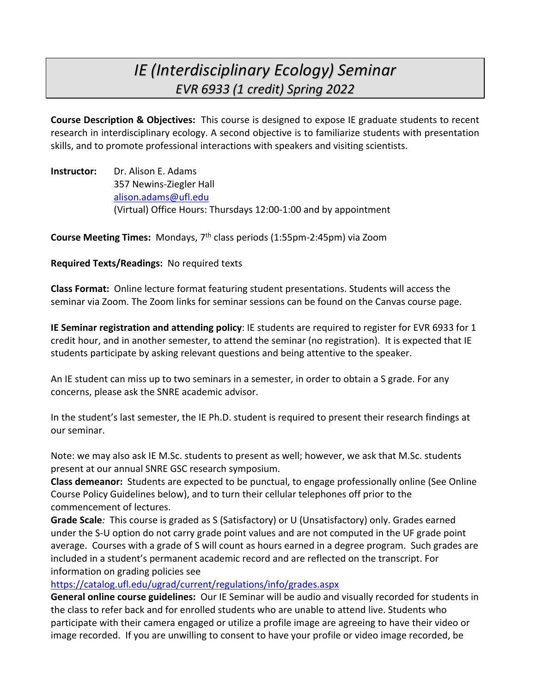# *IE (Interdisciplinary Ecology) Seminar EVR 6933 (1 credit) Spring 2022*

**Course Description & Objectives:** This course is designed to expose IE graduate students to recent research in interdisciplinary ecology. A second objective is to familiarize students with presentation skills, and to promote professional interactions with speakers and visiting scientists.

**Instructor:** Dr. Alison E. Adams 357 Newins-Ziegler Hall alison.adams@ufl.edu (Virtual) Office Hours: Thursdays 12:00-1:00 and by appointment

**Course Meeting Times:** Mondays, 7th class periods (1:55pm-2:45pm) via Zoom

### **Required Texts/Readings:** No required texts

**Class Format:** Online lecture format featuring student presentations. Students will access the seminar via Zoom. The Zoom links for seminar sessions can be found on the Canvas course page.

**IE Seminar registration and attending policy**: IE students are required to register for EVR 6933 for 1 credit hour, and in another semester, to attend the seminar (no registration). It is expected that IE students participate by asking relevant questions and being attentive to the speaker.

An IE student can miss up to two seminars in a semester, in order to obtain a S grade. For any concerns, please ask the SNRE academic advisor.

In the student's last semester, the IE Ph.D. student is required to present their research findings at our seminar.

Note: we may also ask IE M.Sc. students to present as well; however, we ask that M.Sc. students present at our annual SNRE GSC research symposium.

**Class demeanor:** Students are expected to be punctual, to engage professionally online (See Online Course Policy Guidelines below), and to turn their cellular telephones off prior to the commencement of lectures.

**Grade Scale***:* This course is graded as S (Satisfactory) or U (Unsatisfactory) only. Grades earned under the S-U option do not carry grade point values and are not computed in the UF grade point average. Courses with a grade of S will count as hours earned in a degree program. Such grades are included in a student's permanent academic record and are reflected on the transcript. For information on grading policies see

## https://catalog.ufl.edu/ugrad/current/regulations/info/grades.aspx

**General online course guidelines:** Our IE Seminar will be audio and visually recorded for students in the class to refer back and for enrolled students who are unable to attend live. Students who participate with their camera engaged or utilize a profile image are agreeing to have their video or image recorded. If you are unwilling to consent to have your profile or video image recorded, be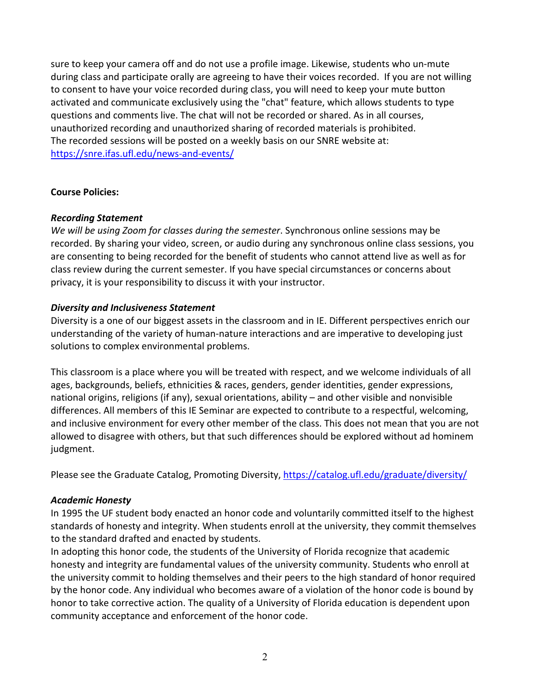sure to keep your camera off and do not use a profile image. Likewise, students who un-mute during class and participate orally are agreeing to have their voices recorded. If you are not willing to consent to have your voice recorded during class, you will need to keep your mute button activated and communicate exclusively using the "chat" feature, which allows students to type questions and comments live. The chat will not be recorded or shared. As in all courses, unauthorized recording and unauthorized sharing of recorded materials is prohibited. The recorded sessions will be posted on a weekly basis on our SNRE website at: https://snre.ifas.ufl.edu/news-and-events/

### **Course Policies:**

### *Recording Statement*

*We will be using Zoom for classes during the semester*. Synchronous online sessions may be recorded. By sharing your video, screen, or audio during any synchronous online class sessions, you are consenting to being recorded for the benefit of students who cannot attend live as well as for class review during the current semester. If you have special circumstances or concerns about privacy, it is your responsibility to discuss it with your instructor.

### *Diversity and Inclusiveness Statement*

Diversity is a one of our biggest assets in the classroom and in IE. Different perspectives enrich our understanding of the variety of human-nature interactions and are imperative to developing just solutions to complex environmental problems.

This classroom is a place where you will be treated with respect, and we welcome individuals of all ages, backgrounds, beliefs, ethnicities & races, genders, gender identities, gender expressions, national origins, religions (if any), sexual orientations, ability – and other visible and nonvisible differences. All members of this IE Seminar are expected to contribute to a respectful, welcoming, and inclusive environment for every other member of the class. This does not mean that you are not allowed to disagree with others, but that such differences should be explored without ad hominem judgment.

Please see the Graduate Catalog, Promoting Diversity, https://catalog.ufl.edu/graduate/diversity/

#### *Academic Honesty*

In 1995 the UF student body enacted an honor code and voluntarily committed itself to the highest standards of honesty and integrity. When students enroll at the university, they commit themselves to the standard drafted and enacted by students.

In adopting this honor code, the students of the University of Florida recognize that academic honesty and integrity are fundamental values of the university community. Students who enroll at the university commit to holding themselves and their peers to the high standard of honor required by the honor code. Any individual who becomes aware of a violation of the honor code is bound by honor to take corrective action. The quality of a University of Florida education is dependent upon community acceptance and enforcement of the honor code.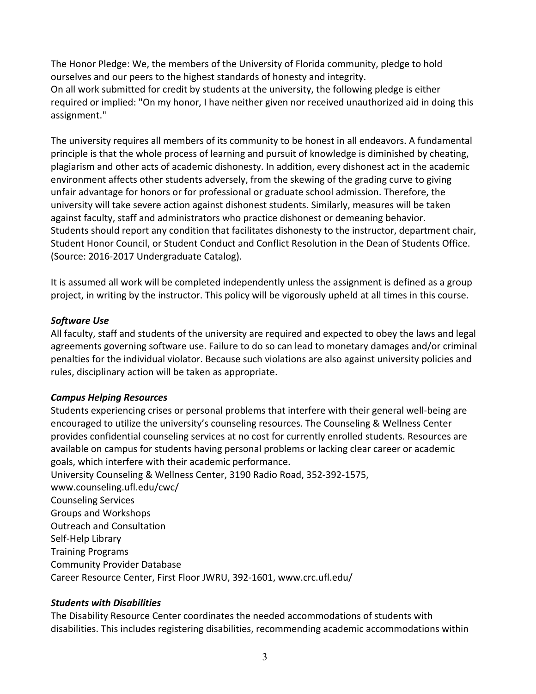The Honor Pledge: We, the members of the University of Florida community, pledge to hold ourselves and our peers to the highest standards of honesty and integrity. On all work submitted for credit by students at the university, the following pledge is either required or implied: "On my honor, I have neither given nor received unauthorized aid in doing this assignment."

The university requires all members of its community to be honest in all endeavors. A fundamental principle is that the whole process of learning and pursuit of knowledge is diminished by cheating, plagiarism and other acts of academic dishonesty. In addition, every dishonest act in the academic environment affects other students adversely, from the skewing of the grading curve to giving unfair advantage for honors or for professional or graduate school admission. Therefore, the university will take severe action against dishonest students. Similarly, measures will be taken against faculty, staff and administrators who practice dishonest or demeaning behavior. Students should report any condition that facilitates dishonesty to the instructor, department chair, Student Honor Council, or Student Conduct and Conflict Resolution in the Dean of Students Office. (Source: 2016-2017 Undergraduate Catalog).

It is assumed all work will be completed independently unless the assignment is defined as a group project, in writing by the instructor. This policy will be vigorously upheld at all times in this course.

### *Software Use*

All faculty, staff and students of the university are required and expected to obey the laws and legal agreements governing software use. Failure to do so can lead to monetary damages and/or criminal penalties for the individual violator. Because such violations are also against university policies and rules, disciplinary action will be taken as appropriate.

## *Campus Helping Resources*

Students experiencing crises or personal problems that interfere with their general well-being are encouraged to utilize the university's counseling resources. The Counseling & Wellness Center provides confidential counseling services at no cost for currently enrolled students. Resources are available on campus for students having personal problems or lacking clear career or academic goals, which interfere with their academic performance. University Counseling & Wellness Center, 3190 Radio Road, 352-392-1575, www.counseling.ufl.edu/cwc/ Counseling Services Groups and Workshops Outreach and Consultation Self-Help Library Training Programs Community Provider Database

Career Resource Center, First Floor JWRU, 392-1601, www.crc.ufl.edu/

## *Students with Disabilities*

The Disability Resource Center coordinates the needed accommodations of students with disabilities. This includes registering disabilities, recommending academic accommodations within